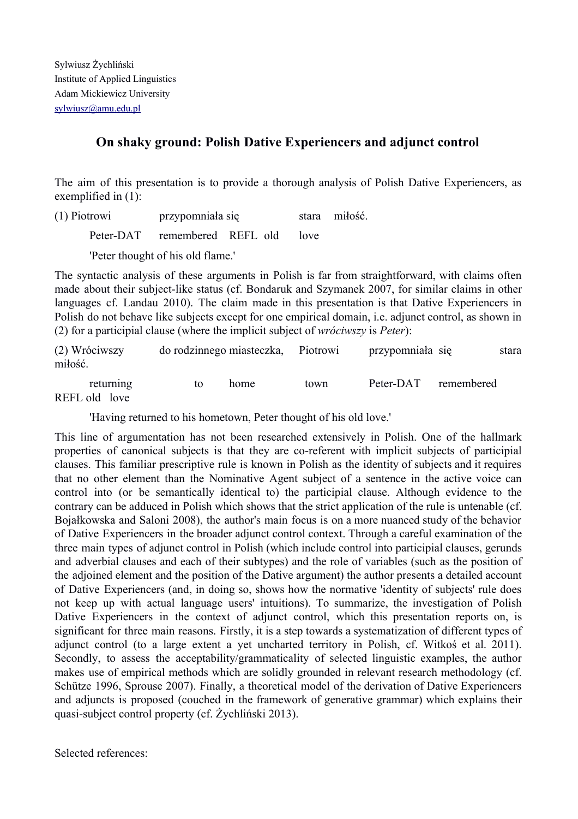## **On shaky ground: Polish Dative Experiencers and adjunct control**

The aim of this presentation is to provide a thorough analysis of Polish Dative Experiencers, as exemplified in (1):

(1) Piotrowi przypomniała się stara miłość.

Peter-DAT remembered REFL old love

'Peter thought of his old flame.'

The syntactic analysis of these arguments in Polish is far from straightforward, with claims often made about their subject-like status (cf. Bondaruk and Szymanek 2007, for similar claims in other languages cf. Landau 2010). The claim made in this presentation is that Dative Experiencers in Polish do not behave like subjects except for one empirical domain, i.e. adjunct control, as shown in (2) for a participial clause (where the implicit subject of *wróciwszy* is *Peter*):

| (2) Wróciwszy<br>miłość. | do rodzinnego miasteczka, Piotrowi |      |      | przypomniała się |            | stara |
|--------------------------|------------------------------------|------|------|------------------|------------|-------|
| returning                |                                    | home | town | Peter-DAT        | remembered |       |

REFL old love

'Having returned to his hometown, Peter thought of his old love.'

This line of argumentation has not been researched extensively in Polish. One of the hallmark properties of canonical subjects is that they are coreferent with implicit subjects of participial clauses. This familiar prescriptive rule is known in Polish as the identity of subjects and it requires that no other element than the Nominative Agent subject of a sentence in the active voice can control into (or be semantically identical to) the participial clause. Although evidence to the contrary can be adduced in Polish which shows that the strict application of the rule is untenable (cf. Bojałkowska and Saloni 2008), the author's main focus is on a more nuanced study of the behavior of Dative Experiencers in the broader adjunct control context. Through a careful examination of the three main types of adjunct control in Polish (which include control into participial clauses, gerunds and adverbial clauses and each of their subtypes) and the role of variables (such as the position of the adjoined element and the position of the Dative argument) the author presents a detailed account of Dative Experiencers (and, in doing so, shows how the normative 'identity of subjects' rule does not keep up with actual language users' intuitions). To summarize, the investigation of Polish Dative Experiencers in the context of adjunct control, which this presentation reports on, is significant for three main reasons. Firstly, it is a step towards a systematization of different types of adjunct control (to a large extent a yet uncharted territory in Polish, cf. Witkoś et al. 2011). Secondly, to assess the acceptability/grammaticality of selected linguistic examples, the author makes use of empirical methods which are solidly grounded in relevant research methodology (cf. Schütze 1996, Sprouse 2007). Finally, a theoretical model of the derivation of Dative Experiencers and adjuncts is proposed (couched in the framework of generative grammar) which explains their quasi-subject control property (cf. Żychliński 2013).

Selected references: